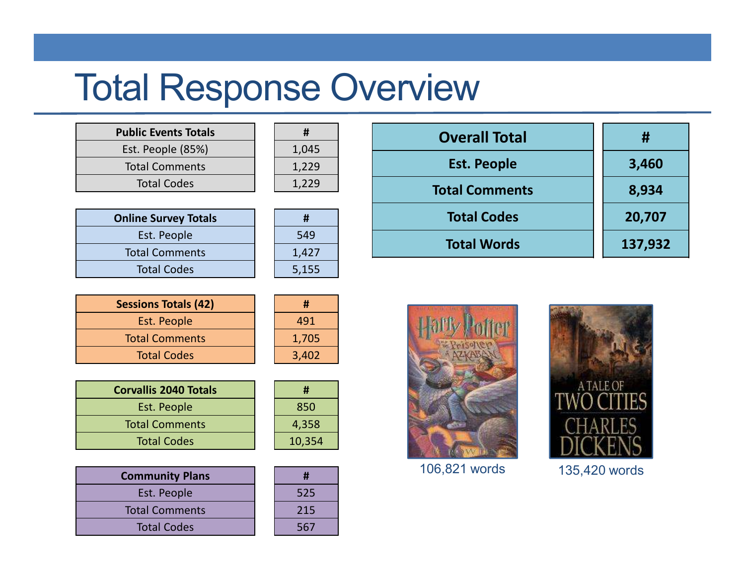## Total Response Overview

| <b>Public Events Totals</b> |       |
|-----------------------------|-------|
| Est. People (85%)           | 1,045 |
| <b>Total Comments</b>       | 1,229 |
| <b>Total Codes</b>          |       |
|                             |       |

| #     |  |
|-------|--|
| 1,045 |  |
| 1,229 |  |
| 1,229 |  |

| <b>Online Survey Totals</b> |       |
|-----------------------------|-------|
| Est. People                 | 549   |
| <b>Total Comments</b>       | 1,427 |
| <b>Total Codes</b>          | 5,155 |

| #     |
|-------|
| 549   |
| 1,427 |
| 5,155 |

| <b>Sessions Totals (42)</b> |       |
|-----------------------------|-------|
| Est. People                 | 491   |
| <b>Total Comments</b>       | 1,705 |
| <b>Total Codes</b>          | 3,402 |

| <b>Corvallis 2040 Totals</b> | Ħ      |
|------------------------------|--------|
| Est. People                  | 850    |
| <b>Total Comments</b>        | 4,358  |
| <b>Total Codes</b>           | 10,354 |

| <b>Community Plans</b> |     |
|------------------------|-----|
| Est. People            |     |
| <b>Total Comments</b>  | 215 |
| <b>Total Codes</b>     |     |

| #      |
|--------|
| 850    |
| 4,358  |
| 10,354 |

3,402



| <b>Overall Total</b>  | #       |
|-----------------------|---------|
| <b>Est. People</b>    | 3,460   |
| <b>Total Comments</b> | 8,934   |
| <b>Total Codes</b>    | 20,707  |
| <b>Total Words</b>    | 137,932 |
|                       |         |



106,821 words



135,420 words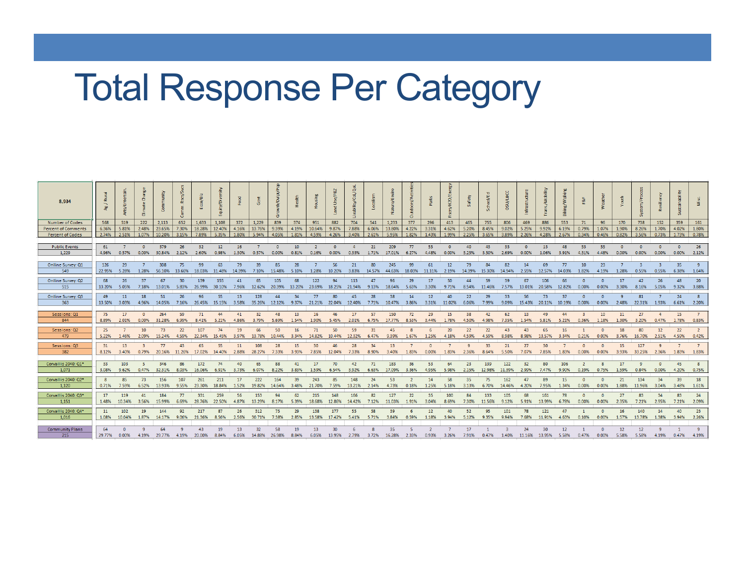# Total Response Per Category

| 8.934                      |              |                                                                                                   |                 |                    |       | $\frac{1}{2}$ | y/Diver                                                                                                               |       |              |                      |                  |                 |                      |       |       |                                                                                  |                |                         |                 |                           |        | osuyuacc                |          |                                        |                 |                          |                   |             |                    |                 |                                      |                |
|----------------------------|--------------|---------------------------------------------------------------------------------------------------|-----------------|--------------------|-------|---------------|-----------------------------------------------------------------------------------------------------------------------|-------|--------------|----------------------|------------------|-----------------|----------------------|-------|-------|----------------------------------------------------------------------------------|----------------|-------------------------|-----------------|---------------------------|--------|-------------------------|----------|----------------------------------------|-----------------|--------------------------|-------------------|-------------|--------------------|-----------------|--------------------------------------|----------------|
| <b>Number of Codes</b>     | 568          | 519                                                                                               | 222             | 2.113              | 652   | 1.633         | 1.108                                                                                                                 | 372   | 1.229        | 839                  | 374              | 951             | 882                  | 704   | 541   | 1.233                                                                            | 377            | 296                     | 413             | 465                       | 755    | 806                     | 469      | 886                                    | 553             | 71                       | 96                | 170         | 738                | 152             | 359                                  | 161            |
| <b>Percent of Comments</b> | 6.36%        | 5.81%                                                                                             |                 | 2.48% 23.65%       | 7.30% | 18.28%        | 12.40%                                                                                                                | 4.16% | 13.76%       | 9.39%                | 4.19%            | 10.64%          | 9.87%                | 7.88% | 6.06% | 13.80%                                                                           | 4.22%          | 3.31%                   | 4.62%           | 5.20%                     | 8.45%  | 9.02%                   | 5.25%    | 9.92%                                  | 6.19%           | 0.79%                    | 1.07%             | 1.90%       | 8.26%              | 1.70%           | 4.02%                                | 1.80%          |
| <b>Percent of Codes</b>    | 2.74%        | $\vert$ 2.51% $\vert$ 1.07% $\vert$ 10.20% $\vert$                                                |                 |                    |       | 3.15% 7.89%   | 5.35%                                                                                                                 | 1.80% | 5.94%        | 4.05%                | 1.81%            | 4.59%           | 4.26%                | 3.40% |       | 2.61% 5.95%                                                                      |                | 1.82% 1.43%             |                 | 1.99% 2.25%               |        | 3.65% 3.89% 2.26% 4.28% |          |                                        |                 |                          |                   |             |                    |                 | $3.56\%$ 0.73% 1.73% 0.78%           |                |
|                            |              |                                                                                                   |                 |                    |       |               |                                                                                                                       |       |              |                      |                  |                 |                      |       |       |                                                                                  |                |                         |                 |                           |        |                         |          |                                        |                 |                          |                   |             |                    |                 |                                      |                |
| <b>Public Events</b>       | 61           |                                                                                                   |                 | 379                | 26    | 32            | 12                                                                                                                    | 16    |              |                      | 10 <sup>10</sup> |                 | $\sqrt{2}$           |       | 21    | 209                                                                              | 77             | -55                     |                 | 40                        | 43     | 33                      | $\Omega$ | 13                                     | 48              | 53                       | 55                |             | $\Omega$           |                 | $\Omega$                             | -26            |
| 1.229                      | 4.96%        | 0.57%                                                                                             | 0.00%           | 30.84%             | 2.12% | 2.60%         | 0.98%                                                                                                                 | 1.30% | 0.57%        | 0.00%                | 0.81%            | 0.16%           | 0.00%                | 0.33% | 1.71% | 17.01%                                                                           | 6.27%          | 4.48%                   | 0.00%           | 3.25%                     | 3.50%  | 2.69%                   | 0.00%    | 1.06%                                  | 3.91%           | 4.31%                    | 4.48%             | 0.00%       | 0.00%              | 0.00%           | 0.00%                                | 2.12%          |
|                            |              |                                                                                                   |                 |                    |       |               |                                                                                                                       |       |              |                      |                  |                 |                      |       |       |                                                                                  |                |                         |                 |                           |        |                         |          |                                        |                 |                          |                   |             |                    |                 |                                      |                |
| Online Survey: Q1<br>549   | 126          | 29<br>22.95% 5.28%                                                                                |                 | 308                | 75    | 99            | 63<br>1.28% 56.10% 13.66% 18.03% 11.48% 14.39% 7.10% 15.48% 5.10%                                                     | 79    | 39           | 85                   | 28               |                 | 56                   | 21    | 80    | 245<br>1.28% 10.20% 3.83% 14.57% 44.63% 18.03% 11.11% 2.19% 14.39% 15.30% 14.94% | 99             | 61                      | 12 <sup>7</sup> | 79                        | 84     | 82                      | 14       | 69<br>2.55% 12.57% 14.03%              | 77              | 10 <sup>°</sup><br>1.82% | 23<br>4.19% 1.28% |             | 0.55%              | 0.55%           | 35<br>6.38% 1.64%                    |                |
|                            |              |                                                                                                   |                 |                    |       |               |                                                                                                                       |       |              |                      |                  |                 |                      |       |       |                                                                                  |                |                         |                 |                           |        |                         |          |                                        |                 |                          |                   |             |                    |                 |                                      |                |
| Online Survey: Q2          | 68           | 26                                                                                                | 37              | 67                 | 30    | 139           | 155                                                                                                                   | 41    | 65           | 105                  | 68               | 122             | 94                   | 113   | 47    | 96                                                                               | 29             | 17                      | 50              | $\Delta\Delta$            | 59     | 39                      | 67       | 106                                    | 66              |                          |                   | 17          | 42                 | 26              | $\overline{AB}$                      | -20            |
| 515                        |              | 13.20% 5.05%                                                                                      | 7.18%           | 13.01%             | 5.83% | 26.99%        | 30.10%                                                                                                                | 7.96% |              | 12.62% 20.39% 13.20% |                  |                 | 23.69% 18.25% 21.94% |       | 9.13% | 18.64%                                                                           | 5.63%          | 3.30%                   | 9.71%           | 8.54%                     | 11.46% | 7.57%                   |          | 13.01% 20.58% 12.82%                   |                 | 0.00%                    | 0.00%             | 3.30%       | 8.16%              | 5.05%           | 9.32%                                | 3.88%          |
| Online Survey: Q3          | 49           | 11                                                                                                | 18              | 51                 | 26    | 96            | 55                                                                                                                    | 13    | 128          | 44                   | 34               | 77              | 80                   | 45    | 28    | 38                                                                               | 14             | 12 <sup>°</sup>         | 40              | 22                        | 29     | 33                      | 56       | 73                                     | 37              |                          | $\Omega$          |             | 81                 |                 | 24                                   |                |
| 363                        |              | 13.50% 3.03%                                                                                      |                 |                    |       |               | 4.96% 14.05% 7.16% 26.45% 15.15% 3.58% 35.26% 12.12% 9.37% 21.21% 22.04% 12.40% 7.71% 10.47% 3.86% 3.31% 11.02% 6.06% |       |              |                      |                  |                 |                      |       |       |                                                                                  |                |                         |                 |                           |        |                         |          | 7.99% 9.09% 15.43% 20.11% 10.19% 0.00% |                 |                          |                   |             |                    |                 | 0.00% 2.48% 22.31% 1.93% 6.61% 2.20% |                |
|                            |              |                                                                                                   |                 |                    |       |               |                                                                                                                       |       |              |                      |                  |                 |                      |       |       |                                                                                  |                |                         |                 |                           |        |                         |          |                                        |                 |                          |                   |             |                    |                 |                                      |                |
| Sessions: Q1               | 75           | 17                                                                                                | $\overline{0}$  | 264                | 59    | 71            | 44                                                                                                                    | 41    | 32           | 48                   | 13               | 16              | 46                   | 17    | 57    | 150                                                                              | 72             | 29                      | 15              | 38                        | 42     | 62                      | 13       | 49                                     | 44              |                          | 10 <sup>°</sup>   | 11          | 27                 |                 | 15                                   |                |
| 844                        | 8.89%        | 2.01%                                                                                             | 0.00%           | 31.28%             | 6.99% | 8.41%         | 5.21%                                                                                                                 | 4.86% | 3.79%        | 5.69%                | 1.54%            | 1.90%           | 5.45%                | 2.01% | 6.75% | 17.77%                                                                           | 8.53%          | 3.44%                   | 1.78%           | 4.50%                     | 4.98%  | 7.35%                   | 1.54%    | 5.81%                                  | 5.21%           | 0.36%                    | 1.18%             | 1.30%       | 3.20%              | 0.47%           | 1.78%                                | 0.83%          |
|                            |              |                                                                                                   |                 |                    |       |               |                                                                                                                       |       |              |                      |                  |                 |                      |       |       |                                                                                  |                |                         |                 |                           |        |                         |          |                                        |                 |                          |                   |             |                    |                 |                                      |                |
| Sessions: Q2<br>479        | 25           |                                                                                                   | 10 <sup>°</sup> | 73                 | 22    | 107           | 74                                                                                                                    | 19    | 66           | 50                   | 16 <sup>1</sup>  | 71              | 50                   | 59    | 31    | 45                                                                               |                |                         | 20 <sup>°</sup> | 22                        | 22     | 43                      | 43       | 65                                     | 16 <sup>°</sup> |                          | $\Omega$          | 18          | 80                 | 12 <sup>2</sup> | 22                                   |                |
|                            |              | 5.22% 1.46% 2.09% 15.24% 4.59% 22.34% 15.45% 3.97% 13.78% 10.44% 3.34% 14.82% 10.44% 12.32% 6.47% |                 |                    |       |               |                                                                                                                       |       |              |                      |                  |                 |                      |       |       | 9.39%                                                                            |                | 1.67% 1.25%             | 4.18% 4.59%     |                           | 4.59%  | 8.98%                   |          | 8.98% 13.57% 3.34%                     |                 | 0.21%                    | 0.00%             |             | 3.76% 16.70% 2.51% |                 | 4.59%                                | 0.42%          |
| Sessions: Q3               | 31           | <b>13</b>                                                                                         | -3.             | 77                 | 43    | 65            | 55                                                                                                                    | 11    | 108          | 28                   | 15               | 30 <sup>°</sup> | 46                   | 28    | 34    | 13                                                                               |                |                         |                 |                           | 33     | 21                      | 27       | 30                                     |                 |                          |                   | 15          | 127                |                 |                                      |                |
| 382                        |              | 8.12% 3.40%                                                                                       | 0.79%           |                    |       |               | 20.16% 11.26% 17.02% 14.40% 2.88%                                                                                     |       | 28.27%       | 7.33%                | 3.93%            | 7.85%           | 12.04%               | 7.33% | 8.90% | 3.40%                                                                            | 1.83%          | 0.00%                   | 1.83%           | 2.36%                     | 8.64%  | 5.50%                   | 7.07%    | 7.85%                                  | 1.83%           | 0.00%                    | 0.00%             | 3.93%       | 33.25%             | 2.36%           | 1.83%                                | 1.83%          |
|                            |              |                                                                                                   |                 |                    |       |               |                                                                                                                       |       |              |                      |                  |                 |                      |       |       |                                                                                  |                |                         |                 |                           |        |                         |          |                                        |                 |                          |                   |             |                    |                 |                                      |                |
| Corvallis 2040: Q1*        | 33           | 103                                                                                               | -5.             | 346                | 86    | 172           | 74                                                                                                                    | 40    | 65           | 88                   | 41               | 17              | 70                   | 42    | 71    | 183                                                                              | 36             | 53                      | 64              | 23                        | 139    | 122                     | 32       | 80                                     | 106             |                          |                   | 17          |                    |                 | 45                                   |                |
| 1.071                      |              | 3.08% 9.62%                                                                                       |                 | 0.47% 32.31% 8.03% |       | 16.06%        | 6.91%                                                                                                                 | 3.73% | 6.07%        | 8.22%                | 3.83%            | 1.59%           | 6.54%                | 3.92% | 6.63% | 17.09% 3.36%                                                                     |                | 4.95%                   | 5.98%           | 2.15% 12.98% 11.39% 2.99% |        |                         |          | 7.47%                                  | 9.90%           | 0.19%                    | 0.75%             | 1.59%       | 0.84%              | 0.00%           | 4.20%                                | 0.75%          |
| Corvallis 2040: Q2*        | $\mathbf{R}$ | 85                                                                                                | 73              | 156                | 107   | 261           | 211                                                                                                                   | 17    | 222          | 164                  | 39               | 243             | 85                   | 148   | 24    | 53                                                                               | $\overline{2}$ | 14                      | 58              | 35                        | 75     | 162                     | 47       | 89                                     | 15              |                          | $\Omega$          | 21          | 134                | 34              | 39                                   | 18             |
| 1.120                      |              | 0.71% 7.59%                                                                                       |                 |                    |       |               | 6.52% 13.93% 9.55% 23.30% 18.84% 1.52% 19.82% 14.64% 3.48% 21.70% 7.59% 13.21% 2.14% 4.73%                            |       |              |                      |                  |                 |                      |       |       |                                                                                  |                | 0.18% 1.25% 5.18% 3.13% |                 |                           |        | 6.70% 14.46% 4.20%      |          | 7.95%                                  | 1.34%           | 0.00%                    | 0.00%             |             | 1.88% 11.96% 3.04% |                 | 3.48% 1.61%                          |                |
|                            |              |                                                                                                   |                 |                    |       |               |                                                                                                                       |       |              |                      |                  |                 |                      |       |       |                                                                                  |                |                         |                 |                           |        |                         |          |                                        |                 |                          |                   |             |                    |                 |                                      |                |
| Corvallis 2040: Q3*        | 17           | 119                                                                                               | 41              | 184                | 77    | 331           | 259                                                                                                                   | 56    | 153          | 94                   | 62               | 215             | 148                  | 166   | 82    | 127                                                                              | 22             | 35                      | 100             | 84                        | 133    | 105                     | 68       | 161                                    | 78              |                          | $\Omega$          | 27          | 83                 | 34              | 83                                   | 24             |
| 1.151                      |              | 1.48% 10.34% 3.56%                                                                                |                 | 15.99%             | 6.69% |               | 28.76% 22.50%                                                                                                         | 4.87% | 13.29% 8.17% |                      | 5.39%            |                 | 18.68% 12.86% 14.42% |       | 7.12% | 11.03% 1.91% 3.04%                                                               |                |                         | 8.69%           | 7.30% 11.56%              |        | 9.12%                   | 5.91%    | 13.99% 6.78%                           |                 | 0.00%                    | 0.00%             | 2.35%       | 7.21%              | 2.95%           | 7.21%                                | 2.09%          |
| Corvallis 2040: Q4*        | 11           | 102                                                                                               | 19              | 144                | 92    | 217           | 87                                                                                                                    | 26    | 312          | 75                   | 29               | 138             | 177                  | 55    | 58    | 39                                                                               |                | 12                      | 40              | 52                        | 95     | 101                     | 78       | 121                                    | 47              |                          |                   | 16          | 140                | 14              | 40                                   | 23             |
| 1.016                      | 1.08%        | 10.04%                                                                                            | 1.87%           | 14.17%             | 9.06% | 21.36%        | 8.56%                                                                                                                 | 2.56% | 30.71%       | 7.38%                | 2.85%            |                 | 13.58% 17.42% 5.41%  |       | 5.71% | 3.84%                                                                            | 0.59%          | 1.18%                   | 3.94%           | 5.12%                     | 9.35%  | 9.94%                   | 7.68%    | 11.91%                                 | 4.63%           | 0.10%                    | 0.00%             | 1.57%       | 13.78%             | 1.38%           | 3.94%                                | 2.26%          |
|                            |              |                                                                                                   |                 |                    |       |               |                                                                                                                       |       |              |                      |                  |                 |                      |       |       |                                                                                  |                |                         |                 |                           |        |                         |          |                                        |                 |                          |                   |             |                    |                 |                                      |                |
| <b>Community Plans</b>     |              |                                                                                                   |                 |                    |       |               |                                                                                                                       |       |              |                      |                  |                 |                      |       |       |                                                                                  |                |                         |                 |                           |        |                         |          |                                        |                 |                          |                   |             |                    |                 |                                      |                |
|                            | 64           |                                                                                                   |                 | 64                 |       | 43            | 19                                                                                                                    | 13    | 32           | 58                   | 19               | 13 <sup>°</sup> | 30                   |       |       | 35                                                                               |                |                         |                 | 17                        |        |                         | 24       | 30                                     | 12              |                          |                   | 12<br>5.58% | 12                 |                 | 4.19% 0.47% 4.19%                    | $\overline{9}$ |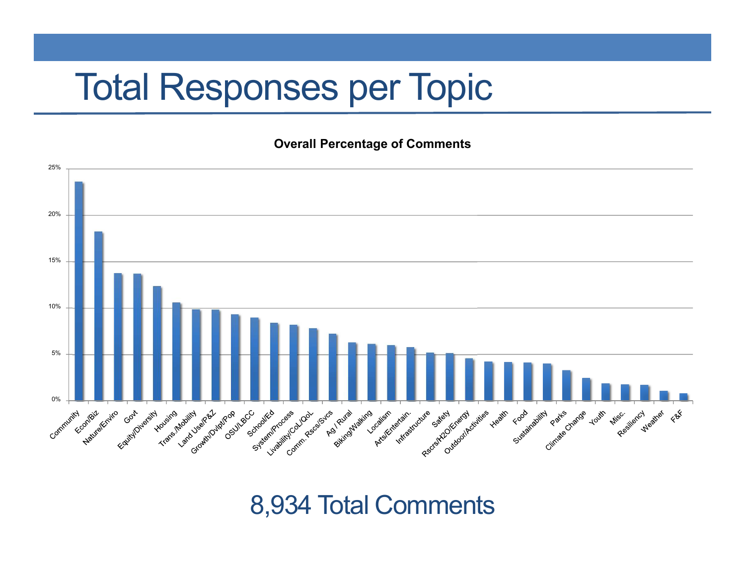## Total Responses per Topic

**Overall Percentage of Comments**



8,934 Total Comments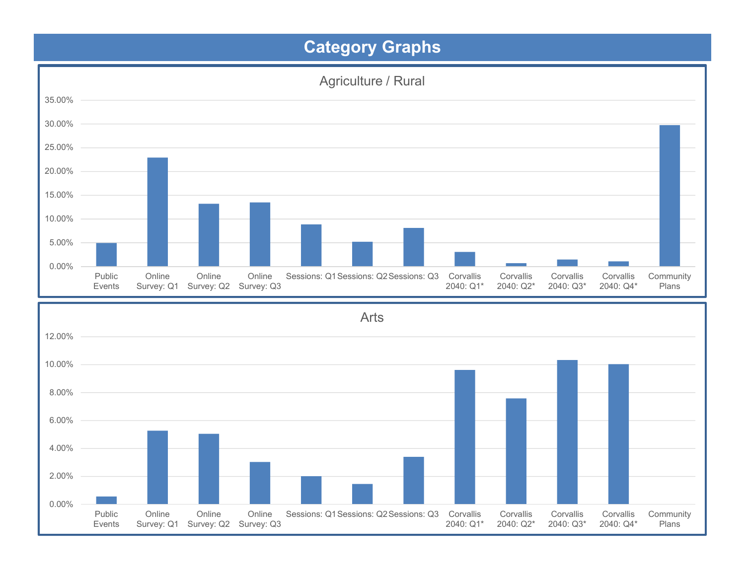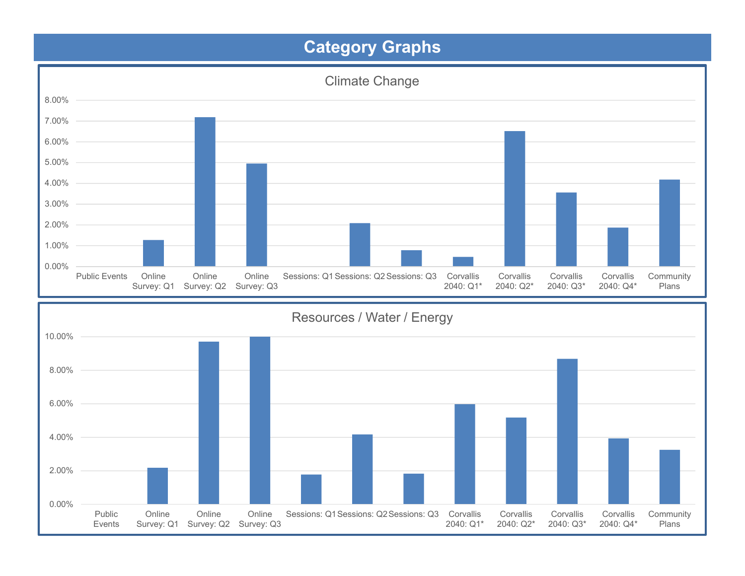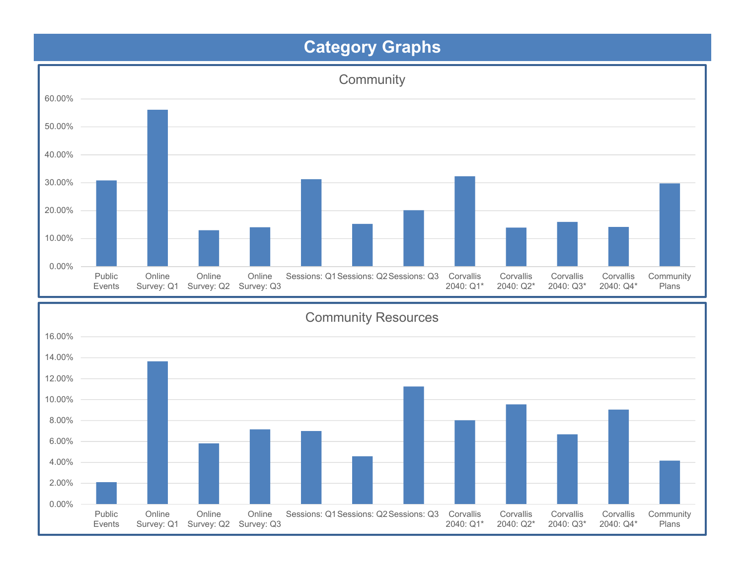

Sessions: Q1Sessions: Q2Sessions: Q3 Corvallis

2040: Q1\*

Corvallis2040: Q2\*

Corvallis2040: Q3\* Corvallis2040: Q4\* CommunityPlans

0.00%

PublicEvents Online

 Survey: Q1 Survey: Q2 Survey: Q3Online

Online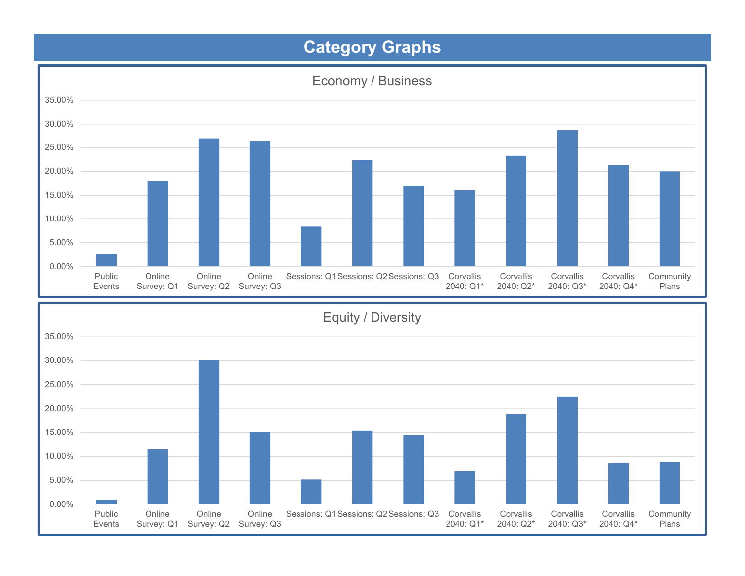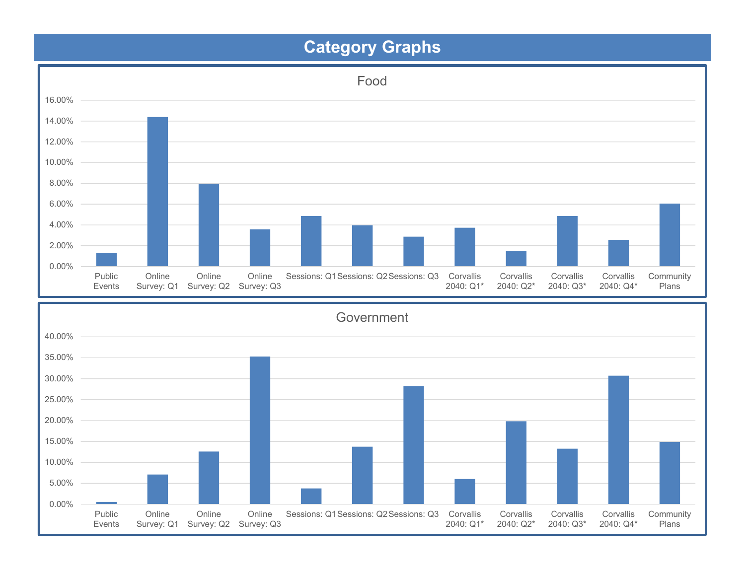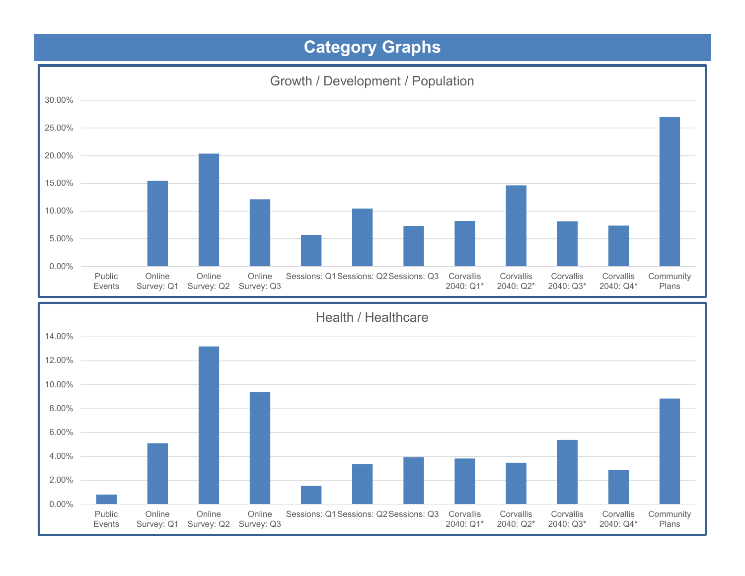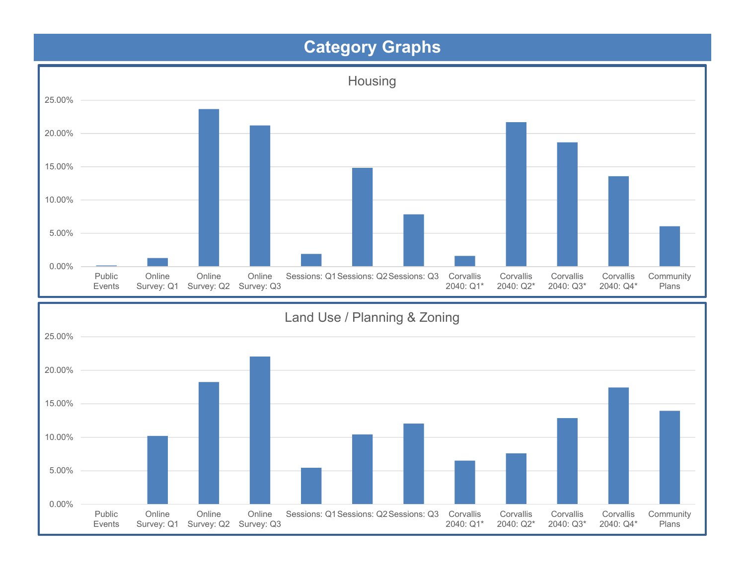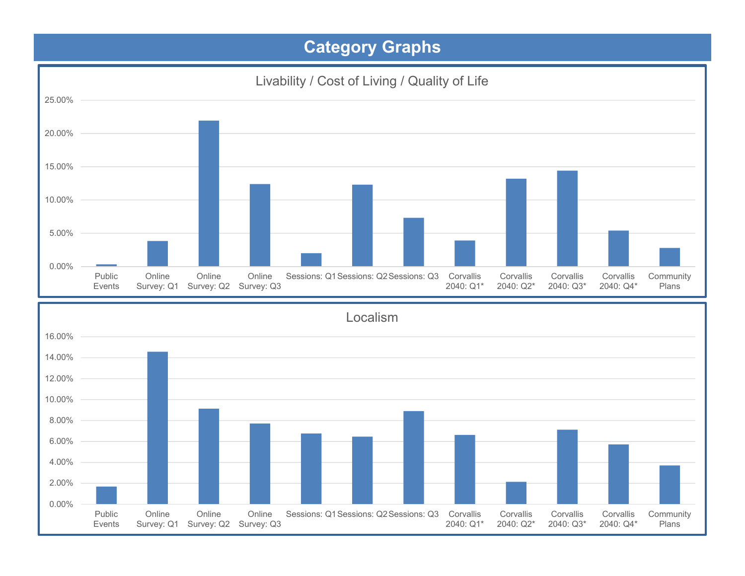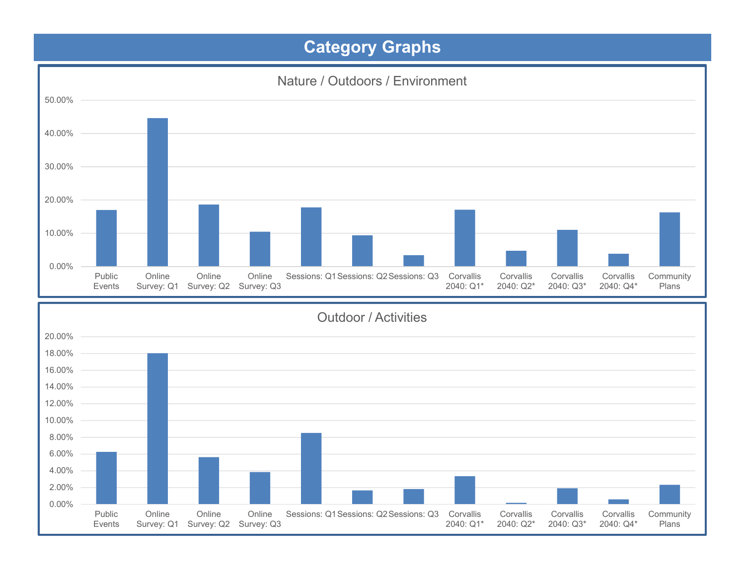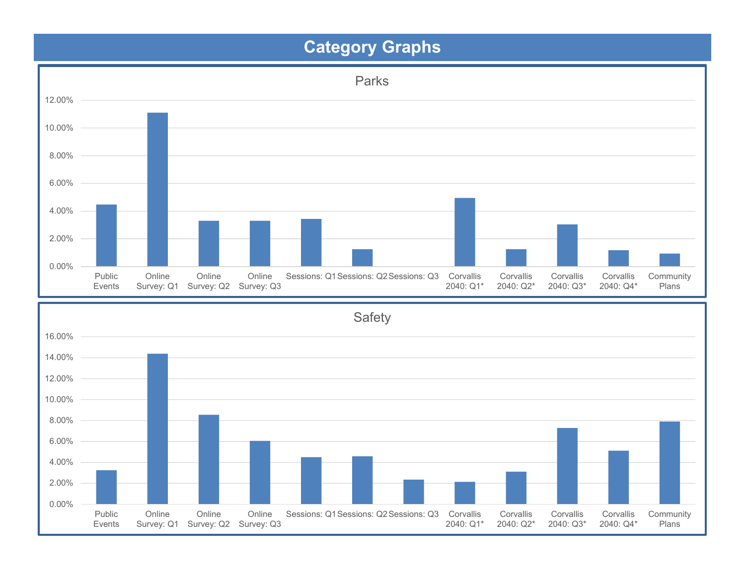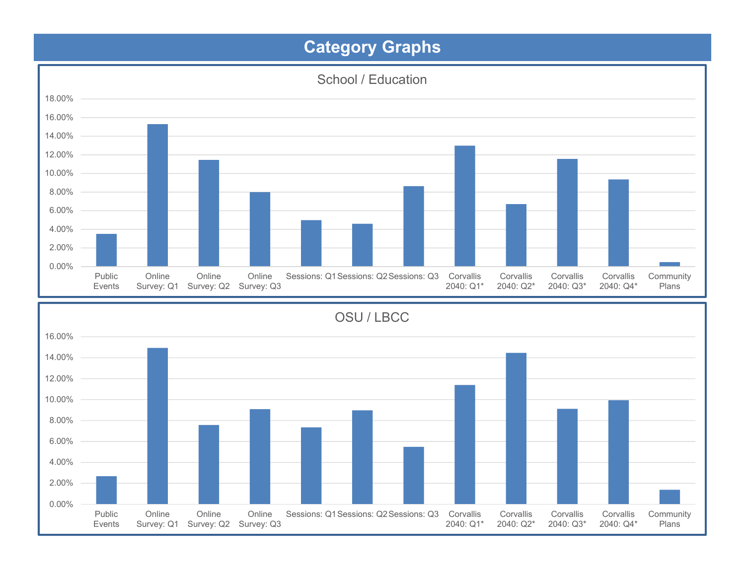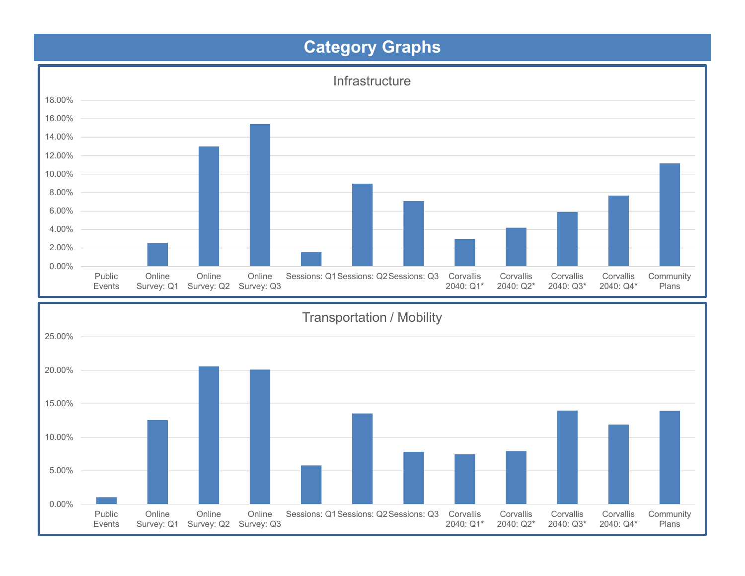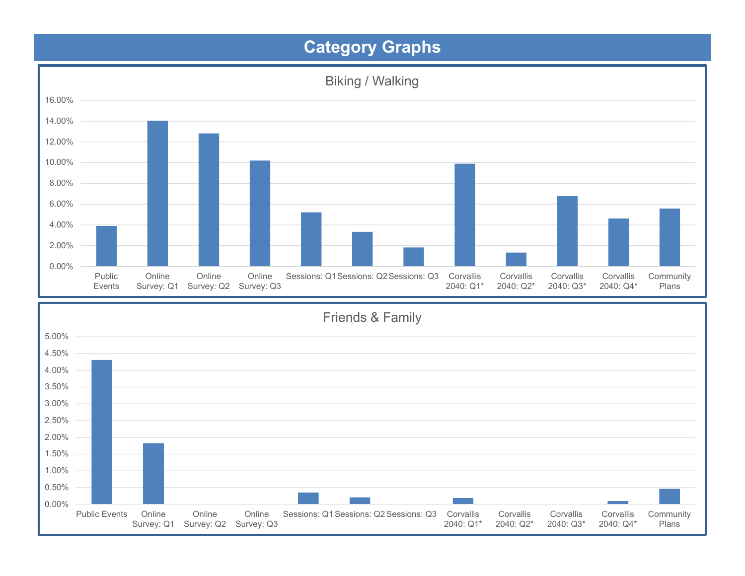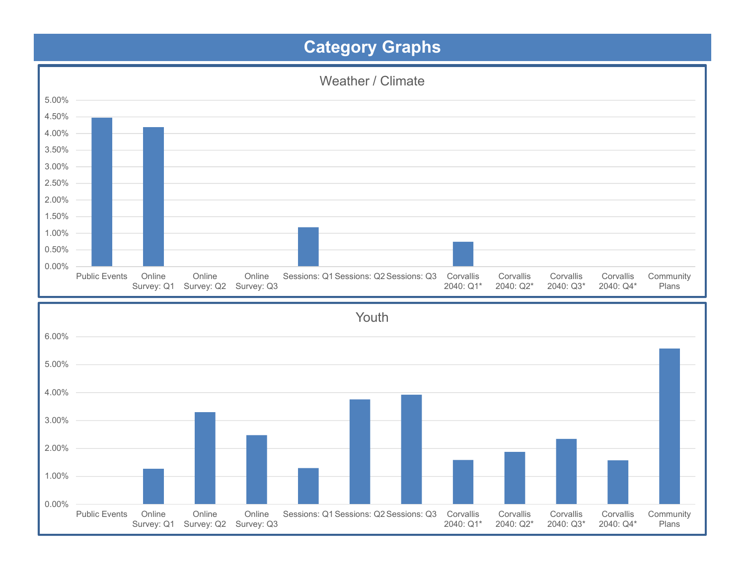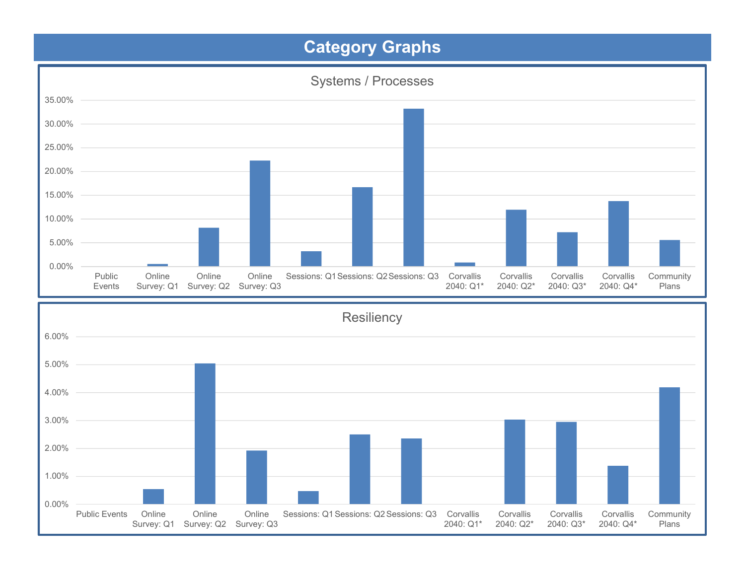